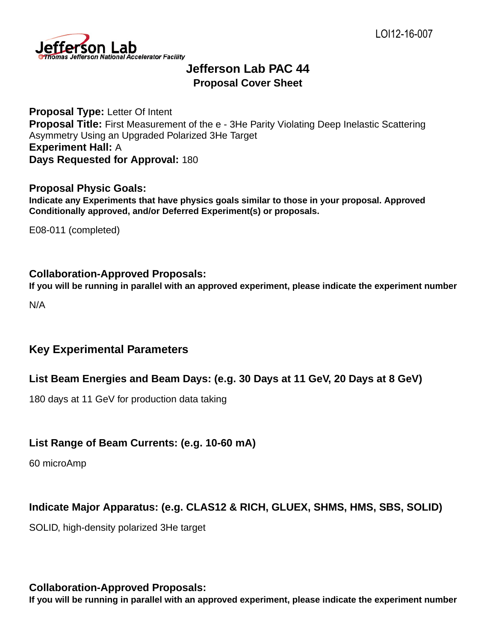

# **Jefferson Lab PAC 44 Proposal Cover Sheet**

**Proposal Type:** Letter Of Intent **Proposal Title:** First Measurement of the e - 3He Parity Violating Deep Inelastic Scattering Asymmetry Using an Upgraded Polarized 3He Target **Experiment Hall:** A **Days Requested for Approval:** 180

#### **Proposal Physic Goals:**

**Indicate any Experiments that have physics goals similar to those in your proposal. Approved Conditionally approved, and/or Deferred Experiment(s) or proposals.**

E08-011 (completed)

### **Collaboration-Approved Proposals:**

**If you will be running in parallel with an approved experiment, please indicate the experiment number**

N/A

### **Key Experimental Parameters**

#### **List Beam Energies and Beam Days: (e.g. 30 Days at 11 GeV, 20 Days at 8 GeV)**

180 days at 11 GeV for production data taking

### **List Range of Beam Currents: (e.g. 10-60 mA)**

60 microAmp

### **Indicate Major Apparatus: (e.g. CLAS12 & RICH, GLUEX, SHMS, HMS, SBS, SOLID)**

SOLID, high-density polarized 3He target

### **Collaboration-Approved Proposals:**

**If you will be running in parallel with an approved experiment, please indicate the experiment number**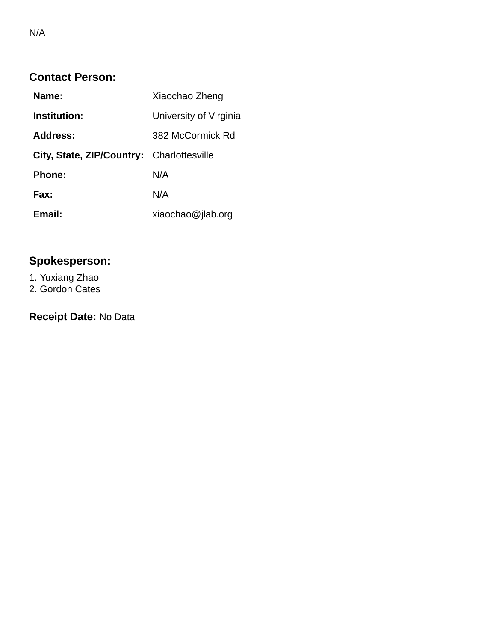| Name:                                     | Xiaochao Zheng         |
|-------------------------------------------|------------------------|
| <b>Institution:</b>                       | University of Virginia |
| Address:                                  | 382 McCormick Rd       |
| City, State, ZIP/Country: Charlottesville |                        |
| <b>Phone:</b>                             | N/A                    |
| Fax:                                      | N/A                    |
| Email:                                    | xiaochao@jlab.org      |

# **Spokesperson:**

1. Yuxiang Zhao 2. Gordon Cates

**Receipt Date:** No Data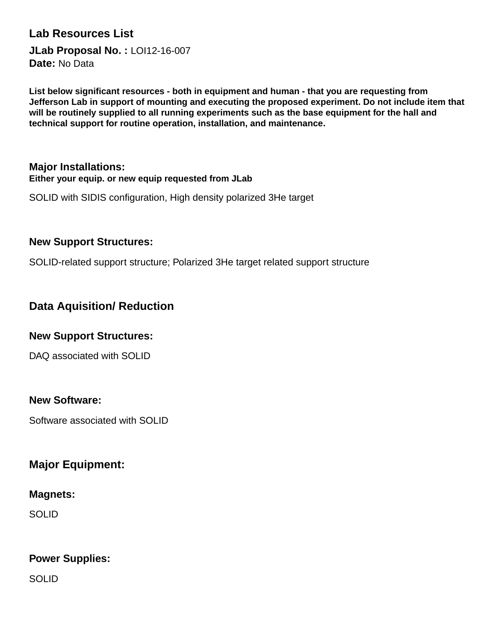### **Lab Resources List**

**JLab Proposal No. :** LOI12-16-007 **Date:** No Data

**List below significant resources - both in equipment and human - that you are requesting from Jefferson Lab in support of mounting and executing the proposed experiment. Do not include item that will be routinely supplied to all running experiments such as the base equipment for the hall and technical support for routine operation, installation, and maintenance.**

#### **Major Installations: Either your equip. or new equip requested from JLab**

SOLID with SIDIS configuration, High density polarized 3He target

#### **New Support Structures:**

SOLID-related support structure; Polarized 3He target related support structure

### **Data Aquisition/ Reduction**

#### **New Support Structures:**

DAQ associated with SOLID

#### **New Software:**

Software associated with SOLID

### **Major Equipment:**

#### **Magnets:**

SOLID

### **Power Supplies:**

SOLID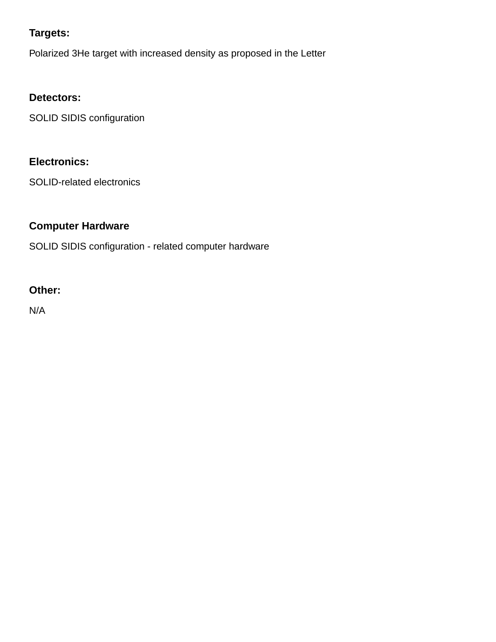### **Targets:**

Polarized 3He target with increased density as proposed in the Letter

### **Detectors:**

SOLID SIDIS configuration

### **Electronics:**

SOLID-related electronics

### **Computer Hardware**

SOLID SIDIS configuration - related computer hardware

### **Other:**

N/A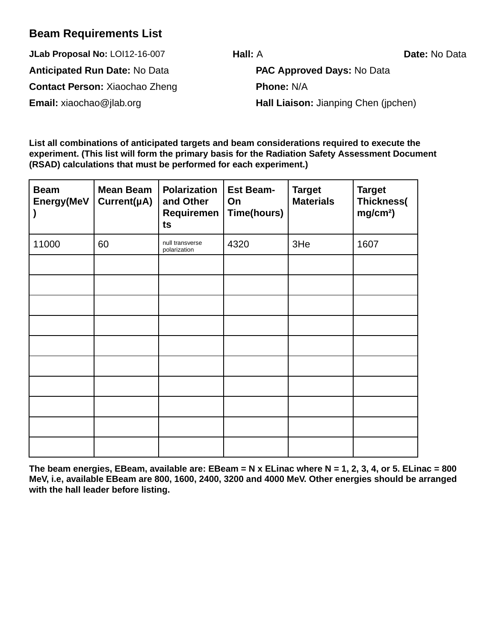### **Beam Requirements List**

**JLab Proposal No:** LOI12-16-007 **Hall:** A **Date:** No Data **Anticipated Run Date:** No Data **PAC Approved Days:** No Data **Contact Person:** Xiaochao Zheng **Phone:** N/A

**Email:** xiaochao@jlab.org **Hall Liaison:** Jianping Chen (jpchen)

**List all combinations of anticipated targets and beam considerations required to execute the experiment. (This list will form the primary basis for the Radiation Safety Assessment Document (RSAD) calculations that must be performed for each experiment.)**

| <b>Beam</b><br>Energy(MeV | <b>Mean Beam</b><br>Current(µA) | <b>Polarization</b><br>and Other<br>Requiremen<br>ts | <b>Est Beam-</b><br>On<br>Time(hours) | <b>Target</b><br><b>Materials</b> | <b>Target</b><br>Thickness(<br>mg/cm <sup>2</sup> ) |
|---------------------------|---------------------------------|------------------------------------------------------|---------------------------------------|-----------------------------------|-----------------------------------------------------|
| 11000                     | 60                              | null transverse<br>polarization                      | 4320                                  | 3He                               | 1607                                                |
|                           |                                 |                                                      |                                       |                                   |                                                     |
|                           |                                 |                                                      |                                       |                                   |                                                     |
|                           |                                 |                                                      |                                       |                                   |                                                     |
|                           |                                 |                                                      |                                       |                                   |                                                     |
|                           |                                 |                                                      |                                       |                                   |                                                     |
|                           |                                 |                                                      |                                       |                                   |                                                     |
|                           |                                 |                                                      |                                       |                                   |                                                     |
|                           |                                 |                                                      |                                       |                                   |                                                     |
|                           |                                 |                                                      |                                       |                                   |                                                     |
|                           |                                 |                                                      |                                       |                                   |                                                     |

**The beam energies, EBeam, available are: EBeam = N x ELinac where N = 1, 2, 3, 4, or 5. ELinac = 800 MeV, i.e, available EBeam are 800, 1600, 2400, 3200 and 4000 MeV. Other energies should be arranged with the hall leader before listing.**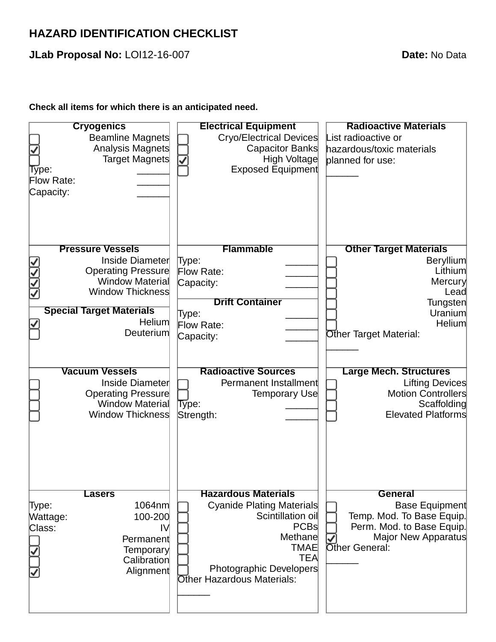## **HAZARD IDENTIFICATION CHECKLIST**

**JLab Proposal No:** LOI12-16-007 **Date:** No Data

### **Check all items for which there is an anticipated need.**

| <b>Cryogenics</b>                                                                                                                    | <b>Electrical Equipment</b>                                                                                                                                                                                | <b>Radioactive Materials</b>                                                                                                        |  |
|--------------------------------------------------------------------------------------------------------------------------------------|------------------------------------------------------------------------------------------------------------------------------------------------------------------------------------------------------------|-------------------------------------------------------------------------------------------------------------------------------------|--|
| <b>Beamline Magnets</b>                                                                                                              | Cryo/Electrical Devices                                                                                                                                                                                    | List radioactive or                                                                                                                 |  |
| Analysis Magnets                                                                                                                     | <b>Capacitor Banks</b>                                                                                                                                                                                     | hazardous/toxic materials                                                                                                           |  |
| Target Magnets                                                                                                                       | High Voltage                                                                                                                                                                                               | planned for use:                                                                                                                    |  |
| Type:                                                                                                                                | <b>Exposed Equipment</b>                                                                                                                                                                                   |                                                                                                                                     |  |
| Flow Rate:                                                                                                                           |                                                                                                                                                                                                            |                                                                                                                                     |  |
| Capacity:                                                                                                                            |                                                                                                                                                                                                            |                                                                                                                                     |  |
| <b>Pressure Vessels</b>                                                                                                              | <b>Flammable</b>                                                                                                                                                                                           | <b>Other Target Materials</b>                                                                                                       |  |
| Inside Diameter                                                                                                                      | Type:                                                                                                                                                                                                      | <b>Beryllium</b>                                                                                                                    |  |
| Operating Pressure                                                                                                                   | Flow Rate:                                                                                                                                                                                                 | Lithium                                                                                                                             |  |
| Window Material                                                                                                                      | Capacity:                                                                                                                                                                                                  | Mercury                                                                                                                             |  |
| Window Thickness                                                                                                                     |                                                                                                                                                                                                            | Lead                                                                                                                                |  |
|                                                                                                                                      | <b>Drift Container</b>                                                                                                                                                                                     | Tungsten                                                                                                                            |  |
| <b>Special Target Materials</b>                                                                                                      | Type:                                                                                                                                                                                                      | Uranium                                                                                                                             |  |
| <b>Helium</b><br>⊻                                                                                                                   | Flow Rate:                                                                                                                                                                                                 | Helium                                                                                                                              |  |
| <b>Deuterium</b>                                                                                                                     | Capacity:                                                                                                                                                                                                  | Other Target Material:                                                                                                              |  |
| <b>Vacuum Vessels</b><br>Inside Diameter<br><b>Operating Pressure</b><br><b>Window Material</b><br>Window Thickness                  | <b>Radioactive Sources</b><br>Permanent Installment<br>Temporary Use<br>Type:<br>Strength:                                                                                                                 | <b>Large Mech. Structures</b><br>Lifting Devices<br>Motion Controllers<br>Scaffolding<br><b>Elevated Platforms</b>                  |  |
| <b>Lasers</b><br>1064nm<br>Type:<br>100-200<br>Wattage:<br>Class:<br>IV<br>Permanent<br><b>Temporary</b><br>Calibration<br>Alignment | <b>Hazardous Materials</b><br>Cyanide Plating Materials<br>Scintillation oil<br><b>PCBs</b><br>Methane<br><b>TMAE</b><br><b>TEA</b><br><b>Photographic Developers</b><br><b>Other Hazardous Materials:</b> | <b>General</b><br>Base Equipment<br>Temp. Mod. To Base Equip.<br>Perm. Mod. to Base Equip.<br>Major New Apparatus<br>Other General: |  |